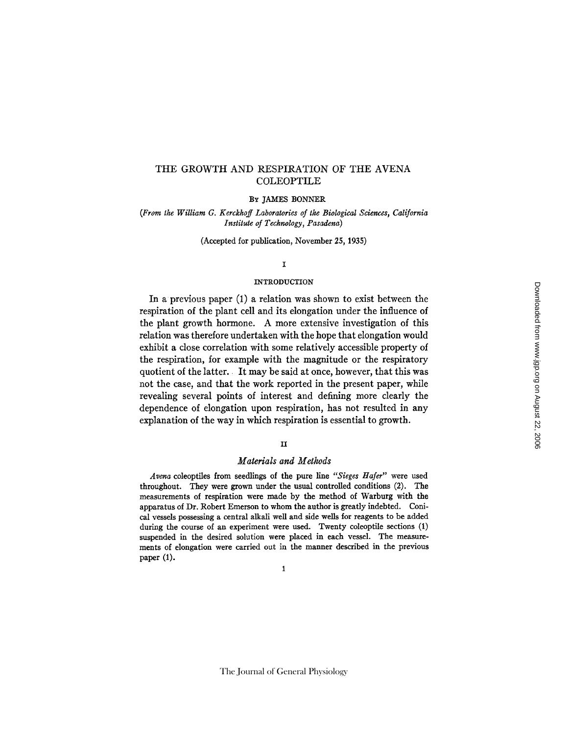# THE GROWTH AND RESPIRATION OF THE AVENA COLEOPTILE

#### BY JAMES BONNER

*(From the William G. Kerckhoff Laboratories of the Biological Sciences, California Institute of Technology, Pasadena)* 

(Accepted for publication, November 25, 1935)

### $\mathbf{r}$

#### INTRODUCTION

**In a previous paper (1) a relation was shown to exist between the respiration of the plant cell and its elongation under the influence of the plant growth hormone. A more extensive investigation of this relation was therefore undertaken with the hope that elongation would exhibit a close correlation with some relatively accessible property of the respiration, for example with the magnitude or the respiratory quotient of the latter. It may be said at once, however, that this was not the case, and that the work reported in the present paper, while revealing several points of interest and defining more clearly the dependence of elongation upon respiration, has not resulted in any explanation of the way in which respiration is essential to growth.** 

# II

### *Materials and Methods*

*Arena* coleoptiles from seedlings of the pure line *"Sieges Haler"* were used throughout. They were grown under the usual controlled conditions (2). The measurements of respiration were made by the method of Warburg **with the apparatus** of Dr. Robert Emerson to whom the author is greatly indebted. Conical vessels possessing a central alkali well and side wells for reagents to be added during the course of an experiment were used. Twenty coleoptile sections (1) suspended **in the** desired solution were placed in each vessel. The measurements of elongation were carried out **in the** manner described **in the** previous **paper** (1).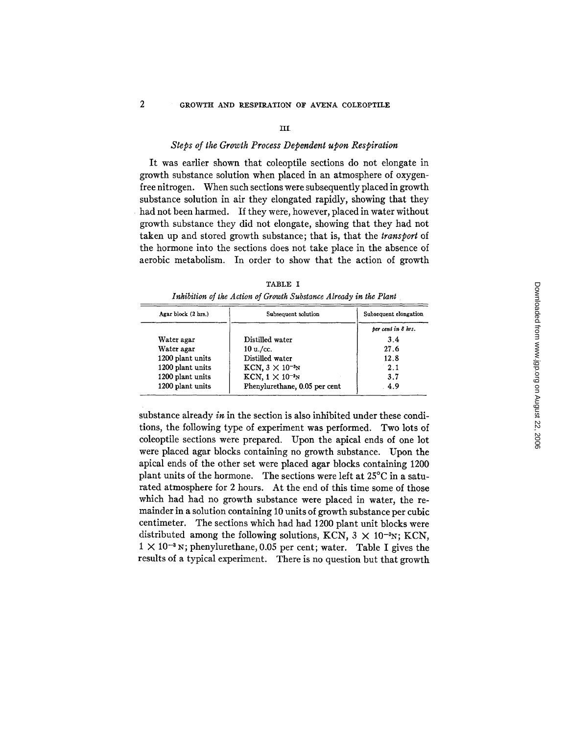#### III.

### *Steps of the Growth Process Dependent upon Respiration*

It was earlier shown that coleoptile sections do not elongate in growth substance solution when placed in an atmosphere of oxygenfree nitrogen. When such sections were subsequently placed in growth substance solution in air they elongated rapidly, showing that they had not been harmed. If they were, however, placed in water without growth substance they did not elongate, showing that they had not taken up and stored growth substance; that is, that the *transport* of the hormone into the sections does not take place in the absence of aerobic metabolism. In order to show that the action of growth

| Agar block (2 hrs.) | Subsequent solution           | Subsequent elongation |
|---------------------|-------------------------------|-----------------------|
|                     |                               | per cent in 8 hrs.    |
| Water agar          | Distilled water               | 34                    |
| Water agar          | 10 u./cc.                     | 27.6                  |
| 1200 plant units    | Distilled water               | 12.8                  |
| 1200 plant units    | KCN, $3 \times 10^{-3}$ N     | 2.1                   |
| 1200 plant units    | $KCN$ , $1 \times 10^{-3}$ N  | 3.7                   |
| 1200 plant units    | Phenylurethane, 0.05 per cent | 4.9                   |

TABLE I *Inhibition of the Action of Growth Substance Already in the Plant* 

substance already in in the section is also inhibited under these conditions, the following type of experiment was performed. Two lots of coleoptile sections were prepared. Upon the apical ends of one lot were placed agar blocks containing no growth substance. Upon the apical ends of the other set were placed agar blocks containing 1200 plant units of the hormone. The sections were left at 25°C in a saturated atmosphere for 2 hours. At the end of this time some of those which had had no growth substance were placed in water, the remainder in a solution containing 10 units of growth substance per cubic centimeter. The sections which had had 1200 plant unit blocks were distributed among the following solutions, KCN,  $3 \times 10^{-3}$ N; KCN,  $1 \times 10^{-3}$  N; phenylurethane, 0.05 per cent; water. Table I gives the results of a typical experiment. There is no question but that growth

 $\overline{2}$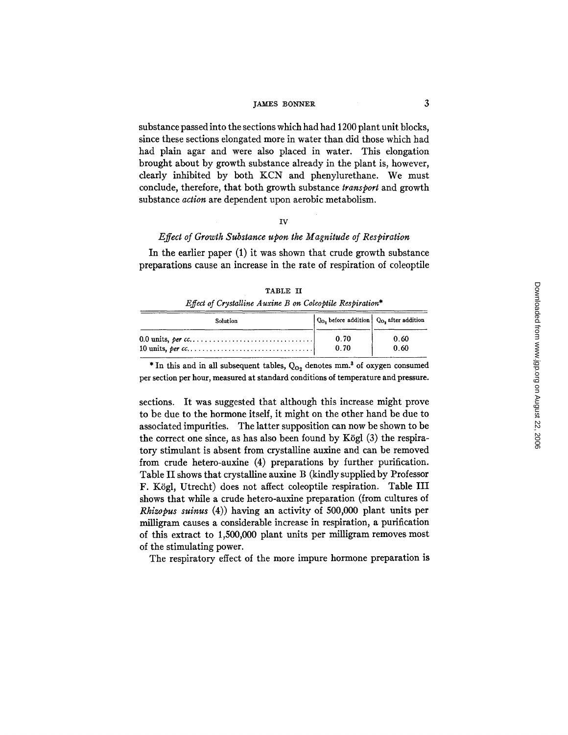substance passed into the sections which had had 1200 plant unit blocks, since these sections elongated more in water than did those which had had plain agar and were also placed in water. This elongation brought about by growth substance already in the plant is, however, dearly inhibited by both KCN and phenylurethane. We must conclude, therefore, that both growth substance *transport* and growth substance *action* are dependent upon aerobic metabolism.

#### *IV*

# *Effect of Growth Substance upon the Magnitude of Respiration*

In the earlier paper  $(1)$  it was shown that crude growth substance preparations cause an increase in the rate of respiration of coleoptile

| <i>Effect of Crystalline Auxine B on Coleoptile Respiration*</i> |                                                                                                      |              |
|------------------------------------------------------------------|------------------------------------------------------------------------------------------------------|--------------|
| Solution                                                         | $\vert$ Q <sub>O<sub>2</sub></sub> before addition $\vert$ Q <sub>O<sub>2</sub></sub> after addition |              |
|                                                                  | 0.70<br>0.70                                                                                         | 0.60<br>0.60 |

TABLE II

\* In this and in all subsequent tables,  $Q_{O_2}$  denotes mm.<sup>3</sup> of oxygen consumed per section per hour, measured at standard conditions of temperature and pressure.

sections. It was suggested that although this increase might prove to be due to the hormone itself, it might on the other hand be due to associated impurities. The latter supposition can now be shown to be the correct one since, as has also been found by Kögl  $(3)$  the respiratory stimulant is absent from crystalline auxine and can be removed from crude hetero-auxine (4) preparations by further purification. Table II shows that crystalline auxine B (kindly supplied by Professor F. Kögl, Utrecht) does not affect coleoptile respiration. Table III shows that while a crude hetero-auxine preparation (from cultures of *Rhizopus suinus* (4)) having an activity of 500,000 plant units per milligram causes a considerable increase in respiration, a purification of this extract to 1,500,000 plant units per milligram removes most of the stimulating power.

The respiratory effect of the more impure hormone preparation is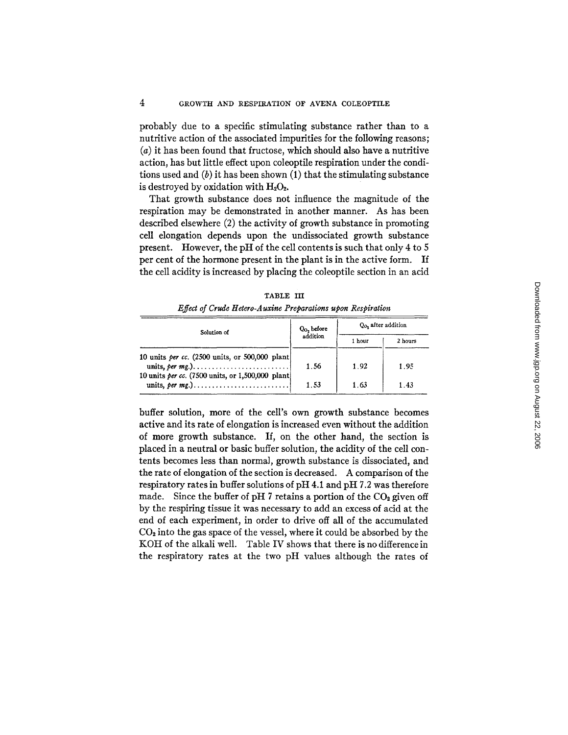4

probably due to a specific stimulating substance rather than to a nutritive action of the associated impurities for the following reasons; (a) it has been found that fructose, which should also have a nutritive action, has but little effect upon coleoptile respiration under the conditions used and  $(b)$  it has been shown  $(1)$  that the stimulating substance is destroyed by oxidation with  $H_2O_2$ .

That growth substance does not influence the magnitude of the respiration may be demonstrated in another manner. As has been described elsewhere (2) the activity of growth substance in promoting cell elongation depends upon the undissociated growth substance present. However, the pH of the cell contents is such that only 4 to 5 per cent of the hormone present in the plant is in the active form. If the cell acidity is increased by placing the coleoptile section in an acid

|                                                        | <i>Effect of Crude Hetero-Auxine Preparations upon Respiration</i><br>Q <sub>0</sub> , after addition<br>$Q_0$ , before<br>Solution of<br>addition<br>1 hour<br>2 hours<br>1.56<br>1.92<br>1.95<br>10 units per cc. (7500 units, or 1,500,000 plant) |      |      |  |
|--------------------------------------------------------|------------------------------------------------------------------------------------------------------------------------------------------------------------------------------------------------------------------------------------------------------|------|------|--|
|                                                        |                                                                                                                                                                                                                                                      |      |      |  |
|                                                        |                                                                                                                                                                                                                                                      |      |      |  |
| 10 units <i>per cc.</i> (2500 units, or 500,000 plant) |                                                                                                                                                                                                                                                      |      |      |  |
|                                                        | 1.53                                                                                                                                                                                                                                                 | 1.63 | 1.43 |  |

**TABLE IH** 

buffer solution, more of the cell's own growth substance becomes active and its rate of elongation is increased even without the addition of more growth substance. If, on the other hand, the section is placed in a neutral or basic buffer solution, the acidity of the cell contents becomes less than normal, growth substance is dissociated, and the rate of elongation of the section is decreased. A comparison of the respiratory rates in buffer solutions of pH 4.1 and pH 7.2 was therefore made. Since the buffer of pH 7 retains a portion of the  $CO<sub>2</sub>$  given off by the respiring tissue it was necessary to add an excess of acid at the end of each experiment, in order to drive off all of the accumulated  $CO<sub>2</sub>$  into the gas space of the vessel, where it could be absorbed by the KOH of the alkali well. Table IV shows that there is no difference in the respiratory rates at the two pH values although the rates of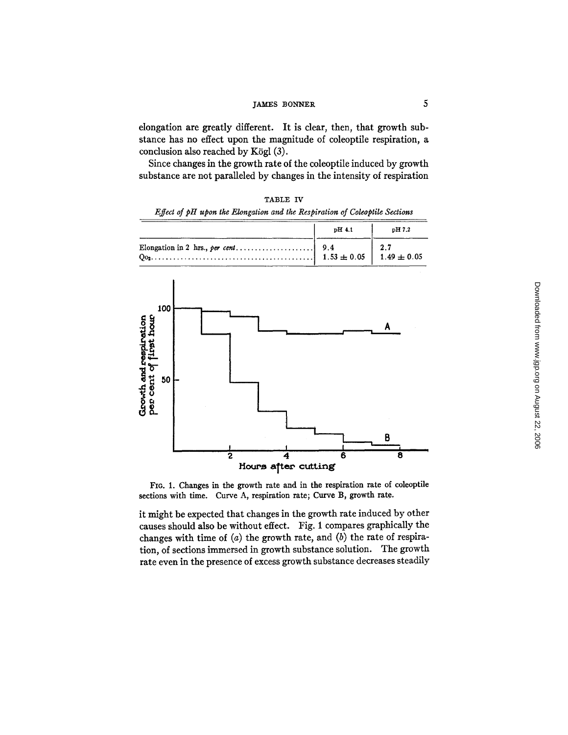# james bonner 5

elongation are greatly different. It is clear, then, that growth substance has no effect upon the magnitude of coleoptile respiration, a conclusion also reached by Kögl  $(3)$ .

Since changes in the growth rate of the coleoptile induced by growth substance are not paralleled by changes in the intensity of respiration

| pH 4.1<br>pH 7.2<br>2.7<br>9.4<br>Elongation in 2 hrs., per cent<br>$1.49 \pm 0.05$<br>$1.53 \pm 0.05$<br>100<br>Α<br>50<br>В<br>$\overline{\mathbf{2}}$<br>6<br>8<br>4 | Effect of pH upon the Elongation and the Respiration of Coleoptile Sections |  |
|-------------------------------------------------------------------------------------------------------------------------------------------------------------------------|-----------------------------------------------------------------------------|--|
|                                                                                                                                                                         |                                                                             |  |
| Growth and respiration<br>per cent of first hour                                                                                                                        |                                                                             |  |
|                                                                                                                                                                         | Hours after cutting                                                         |  |

TABLE IV

FIG. 1. Changes in the growth rate and in the respiration rate of coleoptile sections with time. Curve A, respiration rate; Curve B, growth rate.

it might be expected that changes in the growth rate induced by other causes should also be without effect. Fig. 1 compares graphically the changes with time of  $(a)$  the growth rate, and  $(b)$  the rate of respiration, of sections immersed in growth substance solution. The growth rate even in the presence of excess growth substance decreases steadily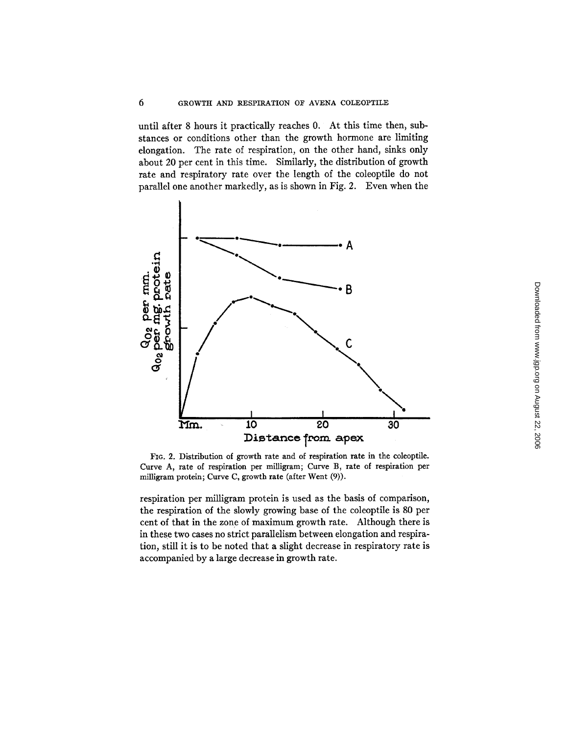until after 8 hours it practically reaches 0. At this time then, substances or conditions other than the growth hormone are limiting elongation. The rate of respiration, on the other hand, sinks only about 20 per cent in this time. Similarly, the distribution of growth rate and respiratory rate over the length of the coleoptile do not parallel one another markedly, as is shown in Fig. 2. Even when the



FIG. 2. Distribution of growth rate and of respiration rate in the coleoptile. Curve A, rate of respiration per milligram; Curve B, rate of respiration per milligram protein; Curve C, growth rate (after Went (9)).

respiration per milligram protein is used as the basis of comparison, the respiration of the slowly growing base of the coleoptile is 80 per cent of that in the zone of maximum growth rate. Although there is in these two cases no strict parallelism between elongation and respiration, still it is to be noted that a slight decrease in respiratory rate is accompanied by a large decrease in growth rate.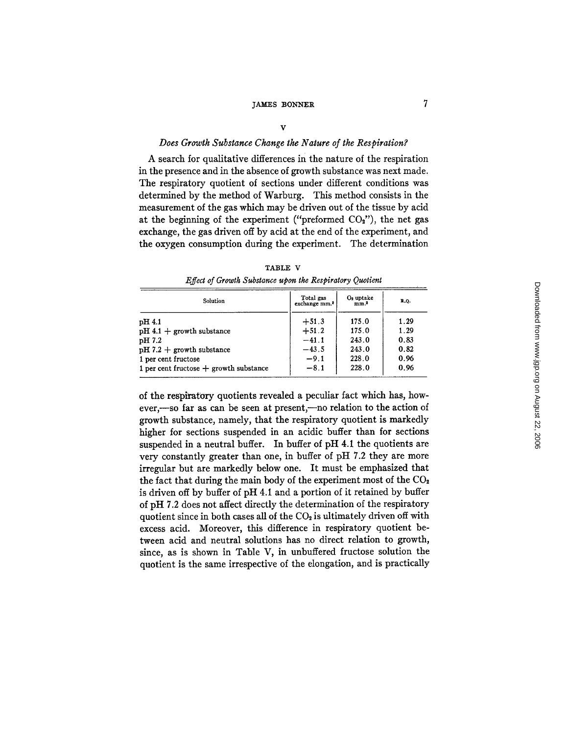### *Does Growth Substance Change the Nature of the Respiration?*

A search for qualitative differences in the nature of the respiration in the presence and in the absence of growth substance was next made. The respiratory quotient of sections under different conditions was determined by the method of Warburg. This method consists in the measurement of the gas which may be driven out of the tissue by acid at the beginning of the experiment ("preformed  $CO<sub>2</sub>$ "), the net gas exchange, the gas driven off by acid at the end of the experiment, and the oxygen consumption during the experiment. The determination

| Solution                                 | Total gas<br>exchange mm. <sup>3</sup> | O <sub>2</sub> uptake<br>mm. <sup>3</sup> | R.O. |
|------------------------------------------|----------------------------------------|-------------------------------------------|------|
| pH 4.1                                   | $+51.3$                                | 175.0                                     | 1.29 |
| $pH 4.1 +$ growth substance              | $+51.2$                                | 175.0                                     | 1.29 |
| pH 7.2                                   | $-41.1$                                | 243.0                                     | 0.83 |
| $pH 7.2 +$ growth substance              | $-43.5$                                | 243.0                                     | 0.82 |
| 1 per cent fructose                      | $-9.1$                                 | 228.0                                     | 0.96 |
| 1 per cent fructose $+$ growth substance | $-8.1$                                 | 228.0                                     | 0.96 |

TABLE V *Effect of Growtk Substance upon the Respiratory Quotient* 

of the respiratory quotients revealed a peculiar fact which has, however,-so far as can be seen at present,-no relation to the action of growth substance, namely, that the respiratory quotient is markedly higher for sections suspended in an acidic buffer than for sections suspended in a neutral buffer. In buffer of pH 4.1 the quotients are very constantly greater than one, in buffer of pH 7.2 they are more irregular but are markedly below one. It must be emphasized that the fact that during the main body of the experiment most of the  $CO<sub>2</sub>$ is driven off by buffer of pH 4.1 and a portion of it retained by buffer of pH 7.2 does not affect directly the determination of the respiratory quotient since in both cases all of the  $CO<sub>2</sub>$  is ultimately driven off with excess acid. Moreover, this difference in respiratory quotient between acid and neutral solutions has no direct relation to growth, since, as is shown in Table V, in unbuffered fructose solution the quotient is the same irrespective of the elongation, and is practically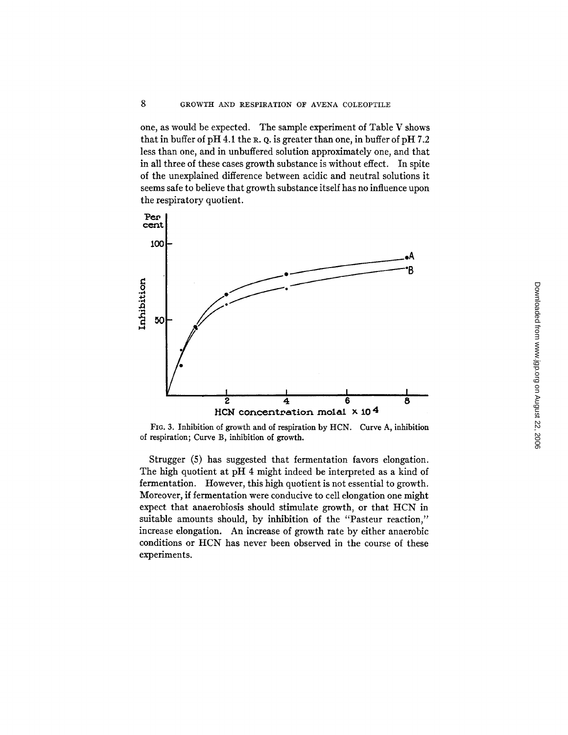8

one, as would be expected. The sample experiment of Table V shows that in buffer of pH 4.1 the R. Q. is greater than one, in buffer of pH  $7.2$ less than one, and in unbuffered solution approximately one, and that in all three of these cases growth substance is without effect. In spite of the unexplained difference between acidic and neutral solutions it seems safe to believe that growth substance itself has no influence upon the respiratory quotient.



FIG. 3. Inhibition of growth and of respiration by HCN. Curve A, inhibition of respiration; Curve B, inhibition of growth.

Strugger (5) has suggested that fermentation favors elongation. The high quotient at pH 4 might indeed be interpreted as a kind of fermentation. However, this high quotient is not essential to growth. Moreover, if fermentation were conducive to cell elongation one might expect that anaerobiosis should stimulate growth, or that HCN in suitable amounts should, by inhibition of the "Pasteur reaction," increase elongation. An increase of growth rate by either anaerobic conditions or HCN has never been observed in the course of these experiments.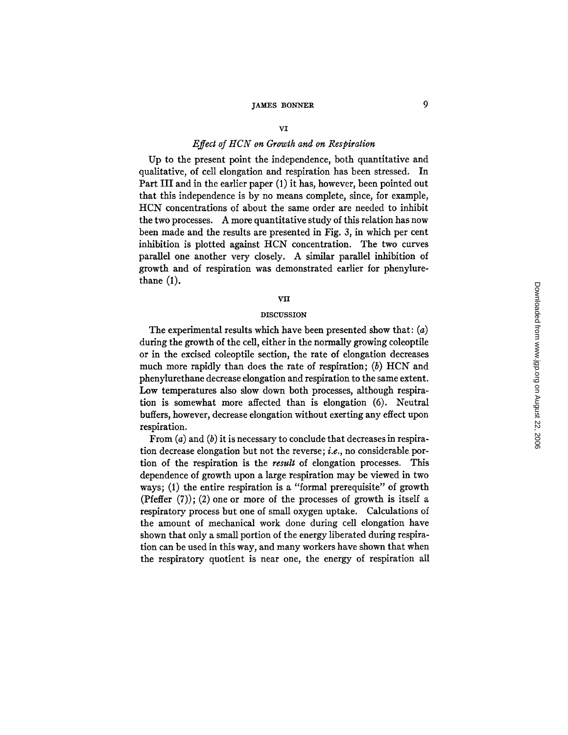#### vI

### *Effect of HCN on Growth and on Respiration*

Up to the present point the independence, both quantitative and qualitative, of cell elongation and respiration has been stressed. In Part III and in the earlier paper (1) it has, however, been pointed out that this independence is by no means complete, since, for example, HCN concentrations of about the same order are needed to inhibit the two processes. A more quantitative study of this relation has now been made and the results are presented in Fig. 3, in which per cent inhibition is plotted against HCN concentration. The two curves parallel one another very closely. A similar parallel inhibition of growth and of respiration was demonstrated earlier for phenylurethane (1).

#### vii

### **DISCUSSION**

The experimental results which have been presented show that:  $(a)$ during the growth of the cell, either in the normally growing coleoptile or in the excised coleoptile section, the rate of elongation decreases much more rapidly than does the rate of respiration; (b) HCN and phenylurethane decrease elongation and respiration to the same extent. Low temperatures also slow down both processes, although respiration is somewhat more affected than is elongation (6). Neutral buffers, however, decrease elongation without exerting any effect upon respiration.

From  $(a)$  and  $(b)$  it is necessary to conclude that decreases in respiration decrease elongation but not the reverse; *i.e.*, no considerable portion of the respiration is the *result* of elongation processes. This dependence of growth upon a large respiration may be viewed in two ways; (1) the entire respiration is a "formal prerequisite" of growth (Pfeffer  $(7)$ ); (2) one or more of the processes of growth is itself a respiratory process but one of small oxygen uptake. Calculations of the amount of mechanical work done during cell elongation have shown that only a small portion of the energy liberated during respiration can be used in this way, and many workers have shown that when the respiratory quotient is near *one,* the energy of respiration all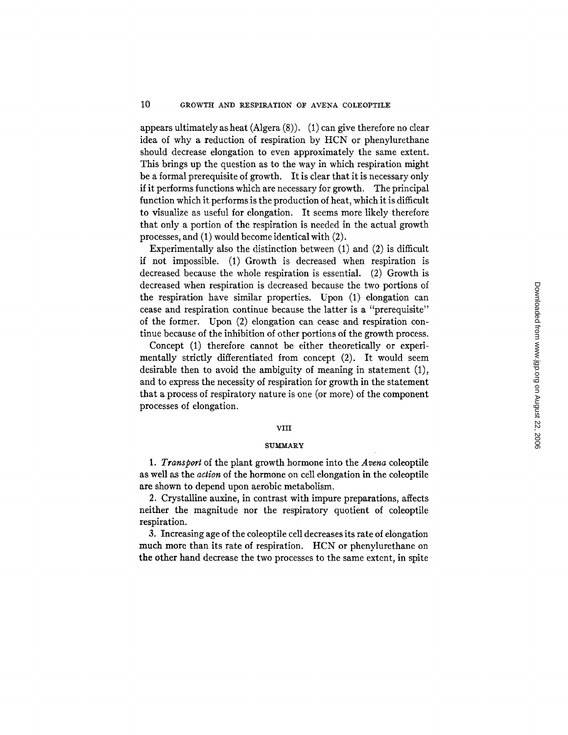appears ultimately as heat (Algera  $(8)$ ).  $(1)$  can give therefore no clear idea of why a reduction of respiration by HCN or phenylurethane should decrease elongation to even approximately the same extent. This brings up the question as to the way in which respiration might be a formal prerequisite of growth. It is dear that it is necessary only if it performs functions which are necessary for growth. The principal function which it performs is the production of heat, which it is difficult to visualize as useful for elongation. It seems more likely therefore that only a portion of the respiration is needed in the actual growth processes, and (1) would become identical with (2).

Experimentally also the distinction between (1) and (2) is difficult if not impossible. (1) Growth is decreased when respiration is decreased because the whole respiration is essential. (2) Growth is decreased when respiration is decreased because the two portions of the respiration have similar properties. Upon (1) elongation can cease and respiration continue because the latter is a "prerequisite" of the former. Upon (2) elongation can cease and respiration continue because of the inhibition of other portions of the growth process.

Concept (1) therefore cannot be either theoretically or experimentally strictly differentiated from concept (2). It would seem desirable then to avoid the ambiguity of meaning in statement (1), and to express the necessity of respiration for growth in the statement that a process of respiratory nature is one (or more) of the component processes of elongation.

### VIII

#### **SUMMARY**

*1. Transport* of the plant growth hormone into the *Arena* coleoptile as well as the *action* of the hormone on cell elongation in the coleoptile are shown to depend upon aerobic metabolism.

2. Crystalline auxine, in contrast with impure preparations, affects neither the magnitude nor the respiratory quotient of coleoptile respiration.

3. Increasing age of the coleoptile cell decreases its rate of elongation much more than its rate of respiration. HCN or phenylurethane on the other hand decrease the two processes to the same extent, in spite